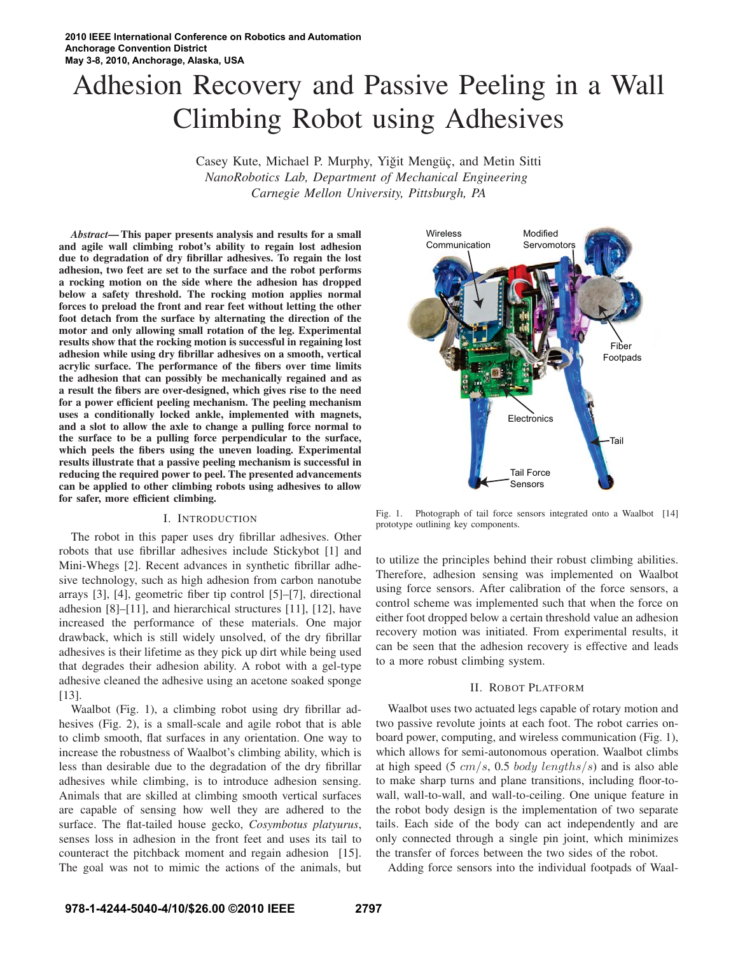# Adhesion Recovery and Passive Peeling in a Wall Climbing Robot using Adhesives

Casey Kute, Michael P. Murphy, Yiğit Mengüc, and Metin Sitti *NanoRobotics Lab, Department of Mechanical Engineering Carnegie Mellon University, Pittsburgh, PA*

*Abstract*— This paper presents analysis and results for a small and agile wall climbing robot's ability to regain lost adhesion due to degradation of dry fibrillar adhesives. To regain the lost adhesion, two feet are set to the surface and the robot performs a rocking motion on the side where the adhesion has dropped below a safety threshold. The rocking motion applies normal forces to preload the front and rear feet without letting the other foot detach from the surface by alternating the direction of the motor and only allowing small rotation of the leg. Experimental results show that the rocking motion is successful in regaining lost adhesion while using dry fibrillar adhesives on a smooth, vertical acrylic surface. The performance of the fibers over time limits the adhesion that can possibly be mechanically regained and as a result the fibers are over-designed, which gives rise to the need for a power efficient peeling mechanism. The peeling mechanism uses a conditionally locked ankle, implemented with magnets, and a slot to allow the axle to change a pulling force normal to the surface to be a pulling force perpendicular to the surface, which peels the fibers using the uneven loading. Experimental results illustrate that a passive peeling mechanism is successful in reducing the required power to peel. The presented advancements can be applied to other climbing robots using adhesives to allow for safer, more efficient climbing.

# I. INTRODUCTION

The robot in this paper uses dry fibrillar adhesives. Other robots that use fibrillar adhesives include Stickybot [1] and Mini-Whegs [2]. Recent advances in synthetic fibrillar adhesive technology, such as high adhesion from carbon nanotube arrays [3], [4], geometric fiber tip control [5]–[7], directional adhesion [8]–[11], and hierarchical structures [11], [12], have increased the performance of these materials. One major drawback, which is still widely unsolved, of the dry fibrillar adhesives is their lifetime as they pick up dirt while being used that degrades their adhesion ability. A robot with a gel-type adhesive cleaned the adhesive using an acetone soaked sponge [13].

Waalbot (Fig. 1), a climbing robot using dry fibrillar adhesives (Fig. 2), is a small-scale and agile robot that is able to climb smooth, flat surfaces in any orientation. One way to increase the robustness of Waalbot's climbing ability, which is less than desirable due to the degradation of the dry fibrillar adhesives while climbing, is to introduce adhesion sensing. Animals that are skilled at climbing smooth vertical surfaces are capable of sensing how well they are adhered to the surface. The flat-tailed house gecko, *Cosymbotus platyurus*, senses loss in adhesion in the front feet and uses its tail to counteract the pitchback moment and regain adhesion [15]. The goal was not to mimic the actions of the animals, but



Fig. 1. Photograph of tail force sensors integrated onto a Waalbot [14] prototype outlining key components.

to utilize the principles behind their robust climbing abilities. Therefore, adhesion sensing was implemented on Waalbot using force sensors. After calibration of the force sensors, a control scheme was implemented such that when the force on either foot dropped below a certain threshold value an adhesion recovery motion was initiated. From experimental results, it can be seen that the adhesion recovery is effective and leads to a more robust climbing system.

## II. ROBOT PLATFORM

Waalbot uses two actuated legs capable of rotary motion and two passive revolute joints at each foot. The robot carries onboard power, computing, and wireless communication (Fig. 1), which allows for semi-autonomous operation. Waalbot climbs at high speed (5  $cm/s$ , 0.5 *body lengths/s)* and is also able to make sharp turns and plane transitions, including floor-towall, wall-to-wall, and wall-to-ceiling. One unique feature in the robot body design is the implementation of two separate tails. Each side of the body can act independently and are only connected through a single pin joint, which minimizes the transfer of forces between the two sides of the robot.

Adding force sensors into the individual footpads of Waal-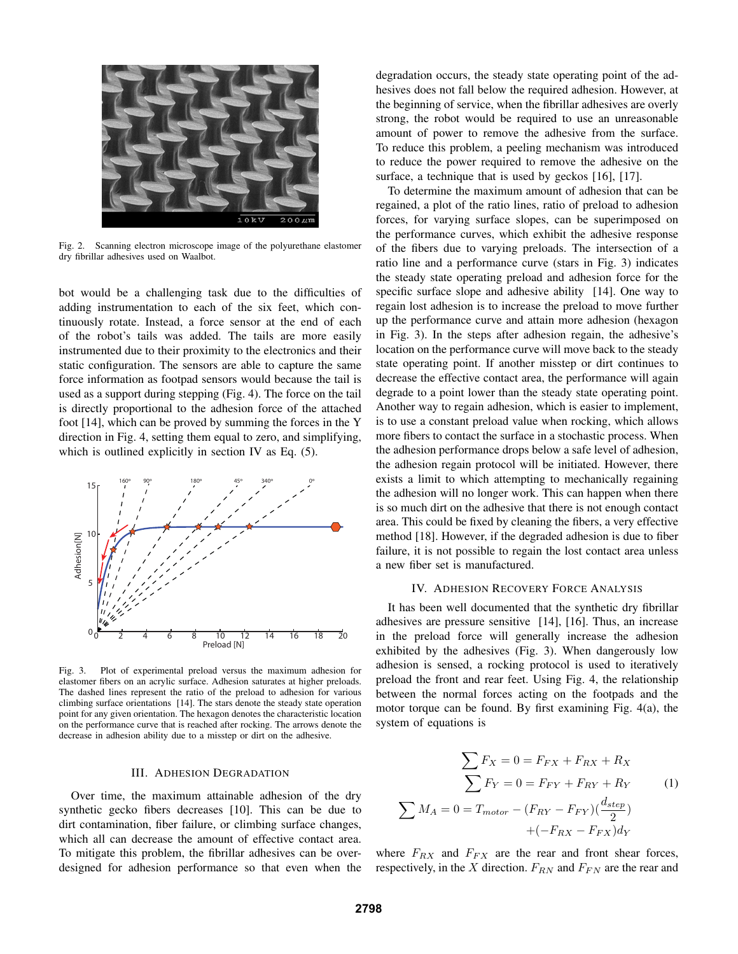

Fig. 2. Scanning electron microscope image of the polyurethane elastomer dry fibrillar adhesives used on Waalbot.

bot would be a challenging task due to the difficulties of adding instrumentation to each of the six feet, which continuously rotate. Instead, a force sensor at the end of each of the robot's tails was added. The tails are more easily instrumented due to their proximity to the electronics and their static configuration. The sensors are able to capture the same force information as footpad sensors would because the tail is used as a support during stepping (Fig. 4). The force on the tail is directly proportional to the adhesion force of the attached foot [14], which can be proved by summing the forces in the Y direction in Fig. 4, setting them equal to zero, and simplifying, which is outlined explicitly in section IV as Eq. (5).



Fig. 3. Plot of experimental preload versus the maximum adhesion for elastomer fibers on an acrylic surface. Adhesion saturates at higher preloads. The dashed lines represent the ratio of the preload to adhesion for various climbing surface orientations [14]. The stars denote the steady state operation point for any given orientation. The hexagon denotes the characteristic location on the performance curve that is reached after rocking. The arrows denote the decrease in adhesion ability due to a misstep or dirt on the adhesive.

## III. ADHESION DEGRADATION

Over time, the maximum attainable adhesion of the dry synthetic gecko fibers decreases [10]. This can be due to dirt contamination, fiber failure, or climbing surface changes, which all can decrease the amount of effective contact area. To mitigate this problem, the fibrillar adhesives can be overdesigned for adhesion performance so that even when the

degradation occurs, the steady state operating point of the adhesives does not fall below the required adhesion. However, at the beginning of service, when the fibrillar adhesives are overly strong, the robot would be required to use an unreasonable amount of power to remove the adhesive from the surface. To reduce this problem, a peeling mechanism was introduced to reduce the power required to remove the adhesive on the surface, a technique that is used by geckos [16], [17].

To determine the maximum amount of adhesion that can be regained, a plot of the ratio lines, ratio of preload to adhesion forces, for varying surface slopes, can be superimposed on the performance curves, which exhibit the adhesive response of the fibers due to varying preloads. The intersection of a ratio line and a performance curve (stars in Fig. 3) indicates the steady state operating preload and adhesion force for the specific surface slope and adhesive ability [14]. One way to regain lost adhesion is to increase the preload to move further up the performance curve and attain more adhesion (hexagon in Fig. 3). In the steps after adhesion regain, the adhesive's location on the performance curve will move back to the steady state operating point. If another misstep or dirt continues to decrease the effective contact area, the performance will again degrade to a point lower than the steady state operating point. Another way to regain adhesion, which is easier to implement, is to use a constant preload value when rocking, which allows more fibers to contact the surface in a stochastic process. When the adhesion performance drops below a safe level of adhesion, the adhesion regain protocol will be initiated. However, there exists a limit to which attempting to mechanically regaining the adhesion will no longer work. This can happen when there is so much dirt on the adhesive that there is not enough contact area. This could be fixed by cleaning the fibers, a very effective method [18]. However, if the degraded adhesion is due to fiber failure, it is not possible to regain the lost contact area unless a new fiber set is manufactured.

# IV. ADHESION RECOVERY FORCE ANALYSIS

It has been well documented that the synthetic dry fibrillar adhesives are pressure sensitive [14], [16]. Thus, an increase in the preload force will generally increase the adhesion exhibited by the adhesives (Fig. 3). When dangerously low adhesion is sensed, a rocking protocol is used to iteratively preload the front and rear feet. Using Fig. 4, the relationship between the normal forces acting on the footpads and the motor torque can be found. By first examining Fig. 4(a), the system of equations is

$$
\sum F_X = 0 = F_{FX} + F_{RX} + R_X
$$

$$
\sum F_Y = 0 = F_{FY} + F_{RY} + R_Y
$$

$$
\sum M_A = 0 = T_{motor} - (F_{RY} - F_{FY})(\frac{d_{step}}{2})
$$

$$
+ (-F_{RX} - F_{FX})d_Y
$$
(1)

where  $F_{RX}$  and  $F_{FX}$  are the rear and front shear forces, respectively, in the X direction.  $F_{RN}$  and  $F_{FN}$  are the rear and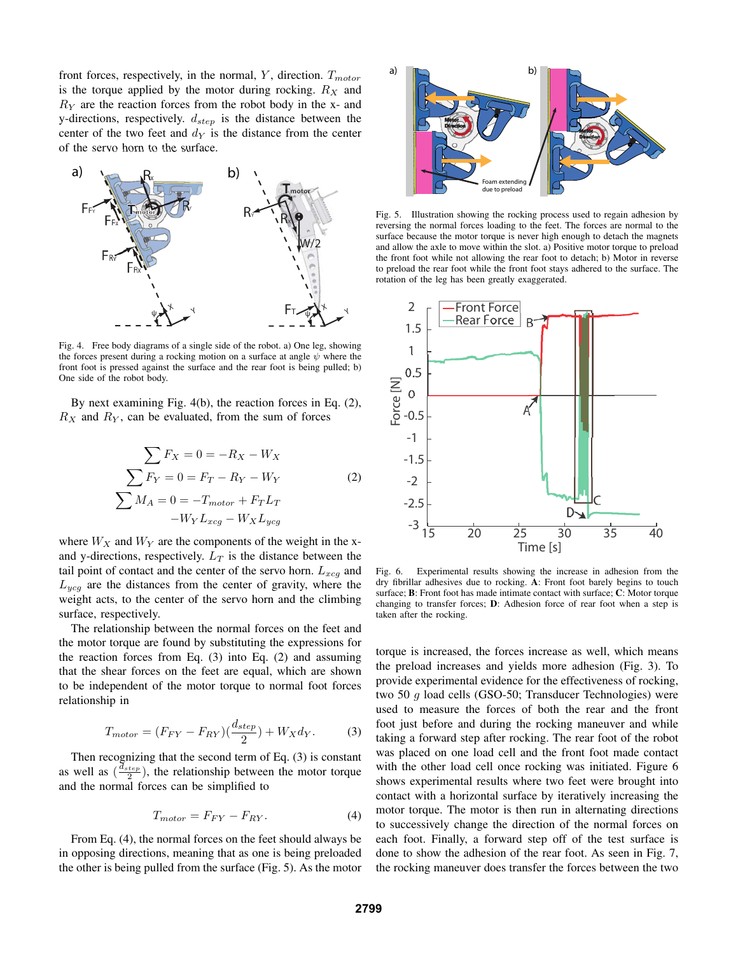front forces, respectively, in the normal, Y, direction.  $T_{motor}$ is the torque applied by the motor during rocking.  $R_X$  and  $R<sub>Y</sub>$  are the reaction forces from the robot body in the x- and y-directions, respectively.  $d_{step}$  is the distance between the center of the two feet and  $d_Y$  is the distance from the center of the servo horn to the surface.



Fig. 4. Free body diagrams of a single side of the robot. a) One leg, showing the forces present during a rocking motion on a surface at angle  $\psi$  where the front foot is pressed against the surface and the rear foot is being pulled; b) One side of the robot body.

By next examining Fig. 4(b), the reaction forces in Eq. (2),  $R_X$  and  $R_Y$ , can be evaluated, from the sum of forces

$$
\sum F_X = 0 = -R_X - W_X
$$

$$
\sum F_Y = 0 = F_T - R_Y - W_Y
$$

$$
\sum M_A = 0 = -T_{motor} + F_T L_T
$$
(2)

$$
-W_Y L_{xcg} - W_X L_{ycg}
$$

where  $W_X$  and  $W_Y$  are the components of the weight in the xand y-directions, respectively.  $L_T$  is the distance between the tail point of contact and the center of the servo horn.  $L_{xca}$  and  $L_{ycg}$  are the distances from the center of gravity, where the weight acts, to the center of the servo horn and the climbing surface, respectively.

The relationship between the normal forces on the feet and the motor torque are found by substituting the expressions for the reaction forces from Eq. (3) into Eq. (2) and assuming that the shear forces on the feet are equal, which are shown to be independent of the motor torque to normal foot forces relationship in

$$
T_{motor} = (F_{FY} - F_{RY})(\frac{d_{step}}{2}) + W_X d_Y.
$$
 (3)

Then recognizing that the second term of Eq. (3) is constant as well as  $(\frac{d_{step}}{2})$ , the relationship between the motor torque and the normal forces can be simplified to

$$
T_{motor} = F_{FY} - F_{RY}.
$$
 (4)

From Eq. (4), the normal forces on the feet should always be in opposing directions, meaning that as one is being preloaded the other is being pulled from the surface (Fig. 5). As the motor



Fig. 5. Illustration showing the rocking process used to regain adhesion by reversing the normal forces loading to the feet. The forces are normal to the surface because the motor torque is never high enough to detach the magnets and allow the axle to move within the slot. a) Positive motor torque to preload the front foot while not allowing the rear foot to detach; b) Motor in reverse to preload the rear foot while the front foot stays adhered to the surface. The rotation of the leg has been greatly exaggerated.



Fig. 6. Experimental results showing the increase in adhesion from the dry fibrillar adhesives due to rocking. A: Front foot barely begins to touch surface; **B**: Front foot has made intimate contact with surface; **C**: Motor torque changing to transfer forces; D: Adhesion force of rear foot when a step is taken after the rocking.

torque is increased, the forces increase as well, which means the preload increases and yields more adhesion (Fig. 3). To provide experimental evidence for the effectiveness of rocking, two 50  $q$  load cells (GSO-50; Transducer Technologies) were used to measure the forces of both the rear and the front foot just before and during the rocking maneuver and while taking a forward step after rocking. The rear foot of the robot was placed on one load cell and the front foot made contact with the other load cell once rocking was initiated. Figure 6 shows experimental results where two feet were brought into contact with a horizontal surface by iteratively increasing the motor torque. The motor is then run in alternating directions to successively change the direction of the normal forces on each foot. Finally, a forward step off of the test surface is done to show the adhesion of the rear foot. As seen in Fig. 7, the rocking maneuver does transfer the forces between the two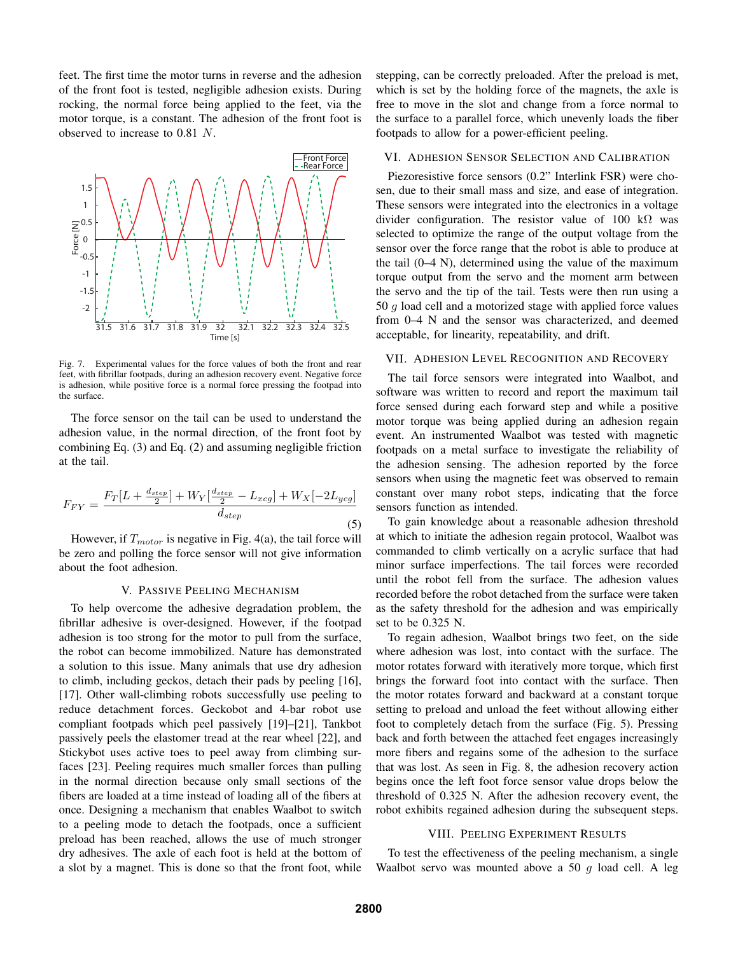feet. The first time the motor turns in reverse and the adhesion of the front foot is tested, negligible adhesion exists. During rocking, the normal force being applied to the feet, via the motor torque, is a constant. The adhesion of the front foot is observed to increase to 0.81 N.



Fig. 7. Experimental values for the force values of both the front and rear feet, with fibrillar footpads, during an adhesion recovery event. Negative force is adhesion, while positive force is a normal force pressing the footpad into the surface.

The force sensor on the tail can be used to understand the adhesion value, in the normal direction, of the front foot by combining Eq. (3) and Eq. (2) and assuming negligible friction at the tail.

$$
F_{FY} = \frac{F_T[L + \frac{d_{step}}{2}] + W_Y[\frac{d_{step}}{2} - L_{xcg}] + W_X[-2L_{ycg}]}{d_{step}}
$$
(5)

However, if  $T_{motor}$  is negative in Fig. 4(a), the tail force will be zero and polling the force sensor will not give information about the foot adhesion.

# V. PASSIVE PEELING MECHANISM

To help overcome the adhesive degradation problem, the fibrillar adhesive is over-designed. However, if the footpad adhesion is too strong for the motor to pull from the surface, the robot can become immobilized. Nature has demonstrated a solution to this issue. Many animals that use dry adhesion to climb, including geckos, detach their pads by peeling [16], [17]. Other wall-climbing robots successfully use peeling to reduce detachment forces. Geckobot and 4-bar robot use compliant footpads which peel passively [19]–[21], Tankbot passively peels the elastomer tread at the rear wheel [22], and Stickybot uses active toes to peel away from climbing surfaces [23]. Peeling requires much smaller forces than pulling in the normal direction because only small sections of the fibers are loaded at a time instead of loading all of the fibers at once. Designing a mechanism that enables Waalbot to switch to a peeling mode to detach the footpads, once a sufficient preload has been reached, allows the use of much stronger dry adhesives. The axle of each foot is held at the bottom of a slot by a magnet. This is done so that the front foot, while stepping, can be correctly preloaded. After the preload is met, which is set by the holding force of the magnets, the axle is free to move in the slot and change from a force normal to the surface to a parallel force, which unevenly loads the fiber footpads to allow for a power-efficient peeling.

# VI. ADHESION SENSOR SELECTION AND CALIBRATION

Piezoresistive force sensors (0.2" Interlink FSR) were chosen, due to their small mass and size, and ease of integration. These sensors were integrated into the electronics in a voltage divider configuration. The resistor value of 100 k $\Omega$  was selected to optimize the range of the output voltage from the sensor over the force range that the robot is able to produce at the tail (0–4 N), determined using the value of the maximum torque output from the servo and the moment arm between the servo and the tip of the tail. Tests were then run using a 50  $q$  load cell and a motorized stage with applied force values from 0–4 N and the sensor was characterized, and deemed acceptable, for linearity, repeatability, and drift.

# VII. ADHESION LEVEL RECOGNITION AND RECOVERY

The tail force sensors were integrated into Waalbot, and software was written to record and report the maximum tail force sensed during each forward step and while a positive motor torque was being applied during an adhesion regain event. An instrumented Waalbot was tested with magnetic footpads on a metal surface to investigate the reliability of the adhesion sensing. The adhesion reported by the force sensors when using the magnetic feet was observed to remain constant over many robot steps, indicating that the force sensors function as intended.

To gain knowledge about a reasonable adhesion threshold at which to initiate the adhesion regain protocol, Waalbot was commanded to climb vertically on a acrylic surface that had minor surface imperfections. The tail forces were recorded until the robot fell from the surface. The adhesion values recorded before the robot detached from the surface were taken as the safety threshold for the adhesion and was empirically set to be 0.325 N.

To regain adhesion, Waalbot brings two feet, on the side where adhesion was lost, into contact with the surface. The motor rotates forward with iteratively more torque, which first brings the forward foot into contact with the surface. Then the motor rotates forward and backward at a constant torque setting to preload and unload the feet without allowing either foot to completely detach from the surface (Fig. 5). Pressing back and forth between the attached feet engages increasingly more fibers and regains some of the adhesion to the surface that was lost. As seen in Fig. 8, the adhesion recovery action begins once the left foot force sensor value drops below the threshold of 0.325 N. After the adhesion recovery event, the robot exhibits regained adhesion during the subsequent steps.

## VIII. PEELING EXPERIMENT RESULTS

To test the effectiveness of the peeling mechanism, a single Waalbot servo was mounted above a 50  $q$  load cell. A leg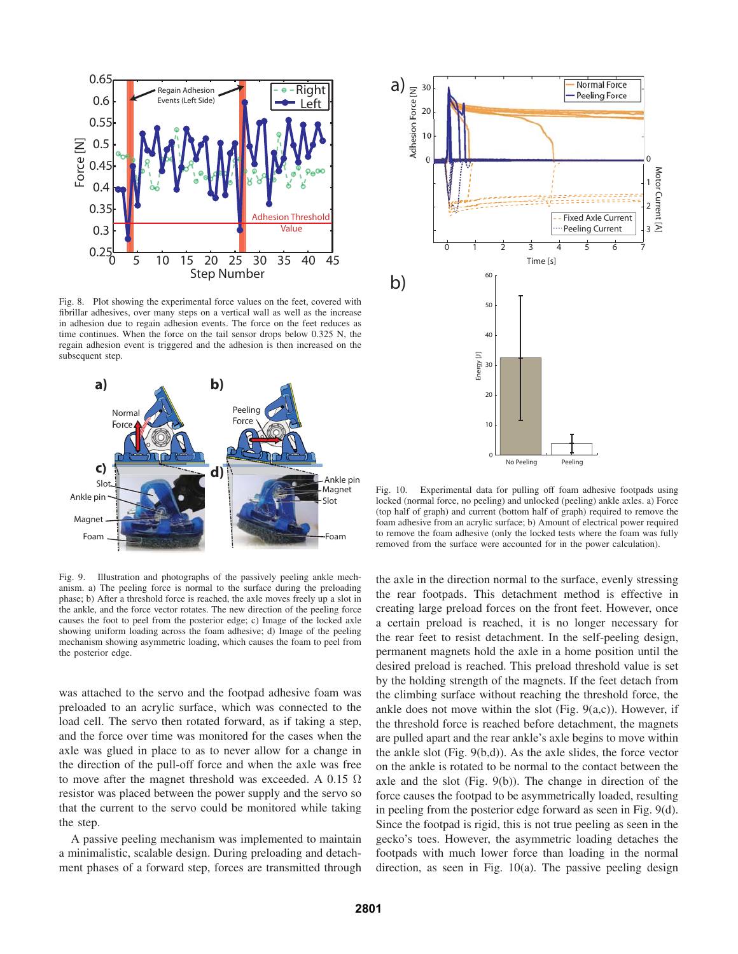

Fig. 8. Plot showing the experimental force values on the feet, covered with fibrillar adhesives, over many steps on a vertical wall as well as the increase in adhesion due to regain adhesion events. The force on the feet reduces as time continues. When the force on the tail sensor drops below 0.325 N, the regain adhesion event is triggered and the adhesion is then increased on the subsequent step.



Fig. 9. Illustration and photographs of the passively peeling ankle mechanism. a) The peeling force is normal to the surface during the preloading phase; b) After a threshold force is reached, the axle moves freely up a slot in the ankle, and the force vector rotates. The new direction of the peeling force causes the foot to peel from the posterior edge; c) Image of the locked axle showing uniform loading across the foam adhesive; d) Image of the peeling mechanism showing asymmetric loading, which causes the foam to peel from the posterior edge.

was attached to the servo and the footpad adhesive foam was preloaded to an acrylic surface, which was connected to the load cell. The servo then rotated forward, as if taking a step, and the force over time was monitored for the cases when the axle was glued in place to as to never allow for a change in the direction of the pull-off force and when the axle was free to move after the magnet threshold was exceeded. A 0.15  $\Omega$ resistor was placed between the power supply and the servo so that the current to the servo could be monitored while taking the step.

A passive peeling mechanism was implemented to maintain a minimalistic, scalable design. During preloading and detachment phases of a forward step, forces are transmitted through



Fig. 10. Experimental data for pulling off foam adhesive footpads using locked (normal force, no peeling) and unlocked (peeling) ankle axles. a) Force (top half of graph) and current (bottom half of graph) required to remove the foam adhesive from an acrylic surface; b) Amount of electrical power required to remove the foam adhesive (only the locked tests where the foam was fully removed from the surface were accounted for in the power calculation).

the axle in the direction normal to the surface, evenly stressing the rear footpads. This detachment method is effective in creating large preload forces on the front feet. However, once a certain preload is reached, it is no longer necessary for the rear feet to resist detachment. In the self-peeling design, permanent magnets hold the axle in a home position until the desired preload is reached. This preload threshold value is set by the holding strength of the magnets. If the feet detach from the climbing surface without reaching the threshold force, the ankle does not move within the slot (Fig.  $9(a,c)$ ). However, if the threshold force is reached before detachment, the magnets are pulled apart and the rear ankle's axle begins to move within the ankle slot (Fig. 9(b,d)). As the axle slides, the force vector on the ankle is rotated to be normal to the contact between the axle and the slot (Fig. 9(b)). The change in direction of the force causes the footpad to be asymmetrically loaded, resulting in peeling from the posterior edge forward as seen in Fig. 9(d). Since the footpad is rigid, this is not true peeling as seen in the gecko's toes. However, the asymmetric loading detaches the footpads with much lower force than loading in the normal direction, as seen in Fig. 10(a). The passive peeling design